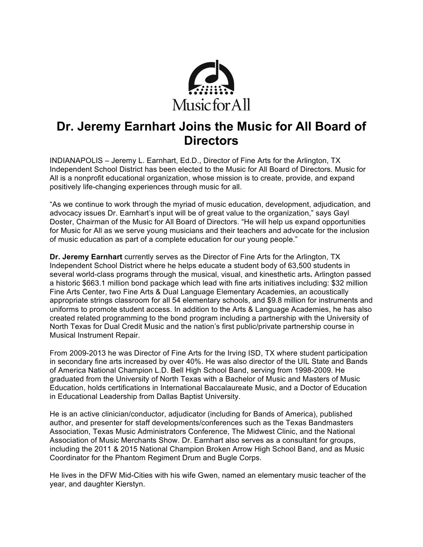

# **Dr. Jeremy Earnhart Joins the Music for All Board of Directors**

INDIANAPOLIS – Jeremy L. Earnhart, Ed.D., Director of Fine Arts for the Arlington, TX Independent School District has been elected to the Music for All Board of Directors. Music for All is a nonprofit educational organization, whose mission is to create, provide, and expand positively life-changing experiences through music for all.

"As we continue to work through the myriad of music education, development, adjudication, and advocacy issues Dr. Earnhart's input will be of great value to the organization," says Gayl Doster, Chairman of the Music for All Board of Directors. "He will help us expand opportunities for Music for All as we serve young musicians and their teachers and advocate for the inclusion of music education as part of a complete education for our young people."

**Dr. Jeremy Earnhart** currently serves as the Director of Fine Arts for the Arlington, TX Independent School District where he helps educate a student body of 63,500 students in several world-class programs through the musical, visual, and kinesthetic arts**.** Arlington passed a historic \$663.1 million bond package which lead with fine arts initiatives including: \$32 million Fine Arts Center, two Fine Arts & Dual Language Elementary Academies, an acoustically appropriate strings classroom for all 54 elementary schools, and \$9.8 million for instruments and uniforms to promote student access. In addition to the Arts & Language Academies, he has also created related programming to the bond program including a partnership with the University of North Texas for Dual Credit Music and the nation's first public/private partnership course in Musical Instrument Repair.

From 2009-2013 he was Director of Fine Arts for the Irving ISD, TX where student participation in secondary fine arts increased by over 40%. He was also director of the UIL State and Bands of America National Champion L.D. Bell High School Band, serving from 1998-2009. He graduated from the University of North Texas with a Bachelor of Music and Masters of Music Education, holds certifications in International Baccalaureate Music, and a Doctor of Education in Educational Leadership from Dallas Baptist University.

He is an active clinician/conductor, adjudicator (including for Bands of America), published author, and presenter for staff developments/conferences such as the Texas Bandmasters Association, Texas Music Administrators Conference, The Midwest Clinic, and the National Association of Music Merchants Show. Dr. Earnhart also serves as a consultant for groups, including the 2011 & 2015 National Champion Broken Arrow High School Band, and as Music Coordinator for the Phantom Regiment Drum and Bugle Corps.

He lives in the DFW Mid-Cities with his wife Gwen, named an elementary music teacher of the year, and daughter Kierstyn.